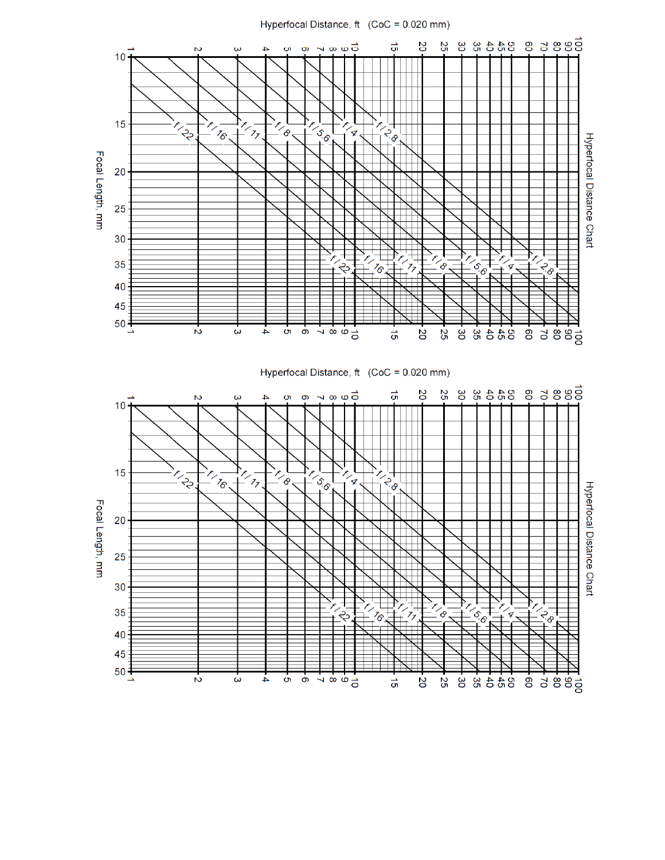